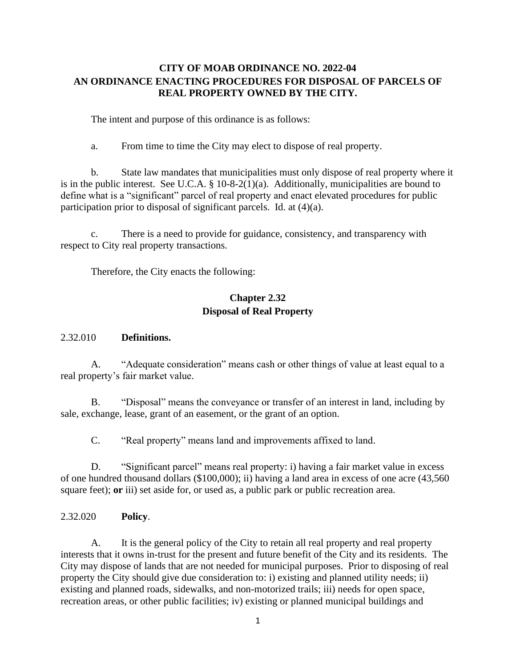#### **CITY OF MOAB ORDINANCE NO. 2022-04 AN ORDINANCE ENACTING PROCEDURES FOR DISPOSAL OF PARCELS OF REAL PROPERTY OWNED BY THE CITY.**

The intent and purpose of this ordinance is as follows:

a. From time to time the City may elect to dispose of real property.

b. State law mandates that municipalities must only dispose of real property where it is in the public interest. See U.C.A. § 10-8-2(1)(a). Additionally, municipalities are bound to define what is a "significant" parcel of real property and enact elevated procedures for public participation prior to disposal of significant parcels. Id. at (4)(a).

c. There is a need to provide for guidance, consistency, and transparency with respect to City real property transactions.

Therefore, the City enacts the following:

#### **Chapter 2.32 Disposal of Real Property**

#### 2.32.010 **Definitions.**

A. "Adequate consideration" means cash or other things of value at least equal to a real property's fair market value.

B. "Disposal" means the conveyance or transfer of an interest in land, including by sale, exchange, lease, grant of an easement, or the grant of an option.

C. "Real property" means land and improvements affixed to land.

D. "Significant parcel" means real property: i) having a fair market value in excess of one hundred thousand dollars (\$100,000); ii) having a land area in excess of one acre (43,560 square feet); **or** iii) set aside for, or used as, a public park or public recreation area.

2.32.020 **Policy**.

A. It is the general policy of the City to retain all real property and real property interests that it owns in-trust for the present and future benefit of the City and its residents. The City may dispose of lands that are not needed for municipal purposes. Prior to disposing of real property the City should give due consideration to: i) existing and planned utility needs; ii) existing and planned roads, sidewalks, and non-motorized trails; iii) needs for open space, recreation areas, or other public facilities; iv) existing or planned municipal buildings and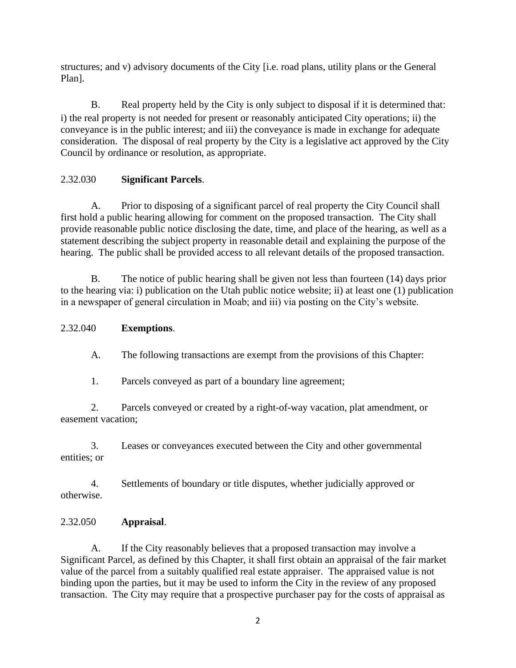structures; and v) advisory documents of the City [i.e. road plans, utility plans or the General Plan].

B. Real property held by the City is only subject to disposal if it is determined that: i) the real property is not needed for present or reasonably anticipated City operations; ii) the conveyance is in the public interest; and iii) the conveyance is made in exchange for adequate consideration. The disposal of real property by the City is a legislative act approved by the City Council by ordinance or resolution, as appropriate.

## 2.32.030 **Significant Parcels**.

A. Prior to disposing of a significant parcel of real property the City Council shall first hold a public hearing allowing for comment on the proposed transaction. The City shall provide reasonable public notice disclosing the date, time, and place of the hearing, as well as a statement describing the subject property in reasonable detail and explaining the purpose of the hearing. The public shall be provided access to all relevant details of the proposed transaction.

B. The notice of public hearing shall be given not less than fourteen (14) days prior to the hearing via: i) publication on the Utah public notice website; ii) at least one (1) publication in a newspaper of general circulation in Moab; and iii) via posting on the City's website.

## 2.32.040 **Exemptions**.

A. The following transactions are exempt from the provisions of this Chapter:

1. Parcels conveyed as part of a boundary line agreement;

2. Parcels conveyed or created by a right-of-way vacation, plat amendment, or easement vacation;

3. Leases or conveyances executed between the City and other governmental entities; or

4. Settlements of boundary or title disputes, whether judicially approved or otherwise.

# 2.32.050 **Appraisal**.

A. If the City reasonably believes that a proposed transaction may involve a Significant Parcel, as defined by this Chapter, it shall first obtain an appraisal of the fair market value of the parcel from a suitably qualified real estate appraiser. The appraised value is not binding upon the parties, but it may be used to inform the City in the review of any proposed transaction. The City may require that a prospective purchaser pay for the costs of appraisal as